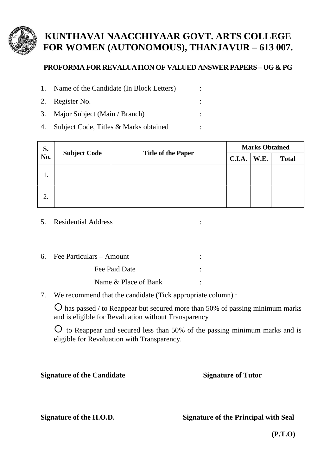

## **KUNTHAVAI NAACCHIYAAR GOVT. ARTS COLLEGE FOR WOMEN (AUTONOMOUS), THANJAVUR – 613 007.**

## **PROFORMA FOR REVALUATION OF VALUED ANSWER PAPERS – UG & PG**

- 1. Name of the Candidate (In Block Letters) :
- 2. Register No.  $\qquad \qquad$  :
- 3. Major Subject (Main / Branch) :
- 4. Subject Code, Titles & Marks obtained :

| S.<br>No. | <b>Subject Code</b> | <b>Title of the Paper</b> | <b>Marks Obtained</b> |      |              |
|-----------|---------------------|---------------------------|-----------------------|------|--------------|
|           |                     |                           | <b>C.I.A.</b>         | W.E. | <b>Total</b> |
| 1.        |                     |                           |                       |      |              |
| 2.        |                     |                           |                       |      |              |

- 5. Residential Address :
- 6. Fee Particulars Amount : Fee Paid Date : The Paid Date is a set of the set of the set of the set of the set of the set of the set of the set of the set of the set of the set of the set of the set of the set of the set of the set of the set of the Name & Place of Bank :
- 7. We recommend that the candidate (Tick appropriate column) :

 $\overline{O}$  has passed / to Reappear but secured more than 50% of passing minimum marks and is eligible for Revaluation without Transparency

 $\overline{O}$  to Reappear and secured less than 50% of the passing minimum marks and is eligible for Revaluation with Transparency.

**Signature of the Candidate Signature of Tutor**

**Signature of the H.O.D. Signature of the Principal with Seal**

**(P.T.O)**